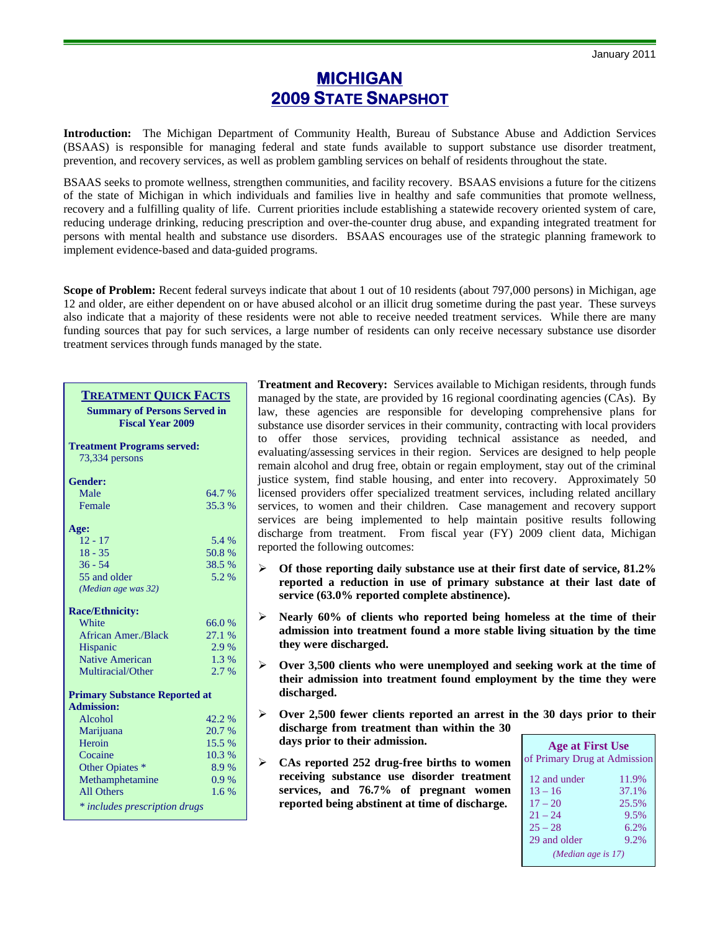## **MICHIGAN 2009 STATE SNAPSHOT**

**Introduction:** The Michigan Department of Community Health, Bureau of Substance Abuse and Addiction Services (BSAAS) is responsible for managing federal and state funds available to support substance use disorder treatment, prevention, and recovery services, as well as problem gambling services on behalf of residents throughout the state.

BSAAS seeks to promote wellness, strengthen communities, and facility recovery. BSAAS envisions a future for the citizens of the state of Michigan in which individuals and families live in healthy and safe communities that promote wellness, recovery and a fulfilling quality of life. Current priorities include establishing a statewide recovery oriented system of care, reducing underage drinking, reducing prescription and over-the-counter drug abuse, and expanding integrated treatment for persons with mental health and substance use disorders. BSAAS encourages use of the strategic planning framework to implement evidence-based and data-guided programs.

**Scope of Problem:** Recent federal surveys indicate that about 1 out of 10 residents (about 797,000 persons) in Michigan, age 12 and older, are either dependent on or have abused alcohol or an illicit drug sometime during the past year. These surveys also indicate that a majority of these residents were not able to receive needed treatment services. While there are many funding sources that pay for such services, a large number of residents can only receive necessary substance use disorder treatment services through funds managed by the state.

| <b>TREATMENT QUICK FACTS</b><br><b>Summary of Persons Served in</b><br><b>Fiscal Year 2009</b> |        |  |
|------------------------------------------------------------------------------------------------|--------|--|
| <b>Treatment Programs served:</b><br>73,334 persons                                            |        |  |
| <b>Gender:</b>                                                                                 |        |  |
| Male                                                                                           | 64.7 % |  |
| Female                                                                                         | 35.3 % |  |
| Age:                                                                                           |        |  |
| $12 - 17$                                                                                      | 5.4 %  |  |
| $18 - 35$                                                                                      | 50.8%  |  |
| $36 - 54$                                                                                      | 38.5 % |  |
| 55 and older<br>(Median age was 32)                                                            | 5.2 %  |  |
| <b>Race/Ethnicity:</b>                                                                         |        |  |
| White                                                                                          | 66.0%  |  |
| <b>African Amer./Black</b>                                                                     | 27.1 % |  |
| Hispanic                                                                                       | 2.9%   |  |
| <b>Native American</b>                                                                         | 1.3 %  |  |
| Multiracial/Other                                                                              | 2.7%   |  |
| <b>Primary Substance Reported at</b><br><b>Admission:</b>                                      |        |  |
| Alcohol                                                                                        | 42.2 % |  |
| Marijuana                                                                                      | 20.7 % |  |
| Heroin                                                                                         | 15.5 % |  |
| Cocaine                                                                                        | 10.3%  |  |
| Other Opiates *                                                                                | 8.9%   |  |
| Methamphetamine                                                                                | 0.9%   |  |
| <b>All Others</b>                                                                              | 1.6%   |  |
| * includes prescription drugs                                                                  |        |  |

**Treatment and Recovery:** Services available to Michigan residents, through funds managed by the state, are provided by 16 regional coordinating agencies (CAs). By law, these agencies are responsible for developing comprehensive plans for substance use disorder services in their community, contracting with local providers to offer those services, providing technical assistance as needed, and evaluating/assessing services in their region. Services are designed to help people remain alcohol and drug free, obtain or regain employment, stay out of the criminal justice system, find stable housing, and enter into recovery. Approximately 50 licensed providers offer specialized treatment services, including related ancillary services, to women and their children. Case management and recovery support services are being implemented to help maintain positive results following discharge from treatment. From fiscal year (FY) 2009 client data, Michigan reported the following outcomes:

- ¾ **Of those reporting daily substance use at their first date of service, 81.2% reported a reduction in use of primary substance at their last date of service (63.0% reported complete abstinence).**
- ¾ **Nearly 60% of clients who reported being homeless at the time of their admission into treatment found a more stable living situation by the time they were discharged.**
- ¾ **Over 3,500 clients who were unemployed and seeking work at the time of their admission into treatment found employment by the time they were discharged.**
- ¾ **Over 2,500 fewer clients reported an arrest in the 30 days prior to their discharge from treatment than within the 30 days prior to their admission.**
- ¾ **CAs reported 252 drug-free births to women receiving substance use disorder treatment services, and 76.7% of pregnant women reported being abstinent at time of discharge.**

| <b>Age at First Use</b><br>of Primary Drug at Admission |       |  |
|---------------------------------------------------------|-------|--|
| 12 and under                                            | 11.9% |  |
| $13 - 16$                                               | 37.1% |  |
| $17 - 20$                                               | 25.5% |  |
| $21 - 24$                                               | 9.5%  |  |
| $25 - 28$                                               | 6.2%  |  |
| 29 and older                                            | 9.2%  |  |
| (Median age is $17$ )                                   |       |  |